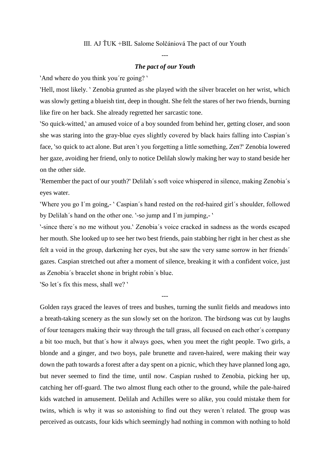## III. AJ ŤUK +BIL Salome Solčániová The pact of our Youth

## *The pact of our Youth*

---

'And where do you think you're going?'

‵Hell, most likely. ‵ Zenobia grunted as she played with the silver bracelet on her wrist, which was slowly getting a blueish tint, deep in thought. She felt the stares of her two friends, burning like fire on her back. She already regretted her sarcastic tone.

‵So quick-witted,‵ an amused voice of a boy sounded from behind her, getting closer, and soon she was staring into the gray-blue eyes slightly covered by black hairs falling into Caspian´s face, 'so quick to act alone. But aren't you forgetting a little something, Zen?' Zenobia lowered her gaze, avoiding her friend, only to notice Delilah slowly making her way to stand beside her on the other side.

‵Remember the pact of our youth?‵ Delilah´s soft voice whispered in silence, making Zenobia´s eyes water.

'Where you go I'm going,- ' Caspian's hand rested on the red-haired girl's shoulder, followed by Delilah's hand on the other one. `-so jump and I'm jumping,- `

‵-since there´s no me without you.‵ Zenobia´s voice cracked in sadness as the words escaped her mouth. She looked up to see her two best friends, pain stabbing her right in her chest as she felt a void in the group, darkening her eyes, but she saw the very same sorrow in her friends´ gazes. Caspian stretched out after a moment of silence, breaking it with a confident voice, just as Zenobia´s bracelet shone in bright robin´s blue.

---

‵So let´s fix this mess, shall we? ‵

Golden rays graced the leaves of trees and bushes, turning the sunlit fields and meadows into a breath-taking scenery as the sun slowly set on the horizon. The birdsong was cut by laughs of four teenagers making their way through the tall grass, all focused on each other´s company a bit too much, but that´s how it always goes, when you meet the right people. Two girls, a blonde and a ginger, and two boys, pale brunette and raven-haired, were making their way down the path towards a forest after a day spent on a picnic, which they have planned long ago, but never seemed to find the time, until now. Caspian rushed to Zenobia, picking her up, catching her off-guard. The two almost flung each other to the ground, while the pale-haired kids watched in amusement. Delilah and Achilles were so alike, you could mistake them for twins, which is why it was so astonishing to find out they weren´t related. The group was perceived as outcasts, four kids which seemingly had nothing in common with nothing to hold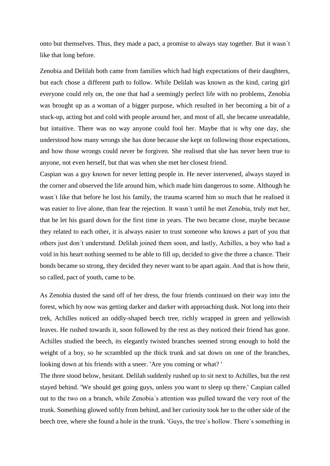onto but themselves. Thus, they made a pact, a promise to always stay together. But it wasn´t like that long before.

Zenobia and Delilah both came from families which had high expectations of their daughters, but each chose a different path to follow. While Delilah was known as the kind, caring girl everyone could rely on, the one that had a seemingly perfect life with no problems, Zenobia was brought up as a woman of a bigger purpose, which resulted in her becoming a bit of a stuck-up, acting hot and cold with people around her, and most of all, she became unreadable, but intuitive. There was no way anyone could fool her. Maybe that is why one day, she understood how many wrongs she has done because she kept on following those expectations, and how those wrongs could never be forgiven. She realised that she has never been true to anyone, not even herself, but that was when she met her closest friend.

Caspian was a guy known for never letting people in. He never intervened, always stayed in the corner and observed the life around him, which made him dangerous to some. Although he wasn´t like that before he lost his family, the trauma scarred him so much that he realised it was easier to live alone, than fear the rejection. It wasn´t until he met Zenobia, truly met her, that he let his guard down for the first time in years. The two became close, maybe because they related to each other, it is always easier to trust someone who knows a part of you that others just don´t understand. Delilah joined them soon, and lastly, Achilles, a boy who had a void in his heart nothing seemed to be able to fill up, decided to give the three a chance. Their bonds became so strong, they decided they never want to be apart again. And that is how their, so called, pact of youth, came to be.

As Zenobia dusted the sand off of her dress, the four friends continued on their way into the forest, which by now was getting darker and darker with approaching dusk. Not long into their trek, Achilles noticed an oddly-shaped beech tree, richly wrapped in green and yellowish leaves. He rushed towards it, soon followed by the rest as they noticed their friend has gone. Achilles studied the beech, its elegantly twisted branches seemed strong enough to hold the weight of a boy, so he scrambled up the thick trunk and sat down on one of the branches, looking down at his friends with a sneer. `Are you coming or what? `

The three stood below, hesitant. Delilah suddenly rushed up to sit next to Achilles, but the rest stayed behind. 'We should get going guys, unless you want to sleep up there.' Caspian called out to the two on a branch, while Zenobia´s attention was pulled toward the very root of the trunk. Something glowed softly from behind, and her curiosity took her to the other side of the beech tree, where she found a hole in the trunk. *`Guys*, the tree's hollow. There's something in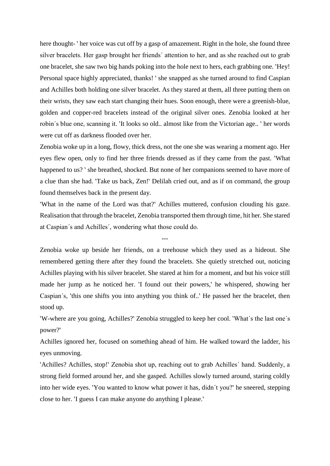here thought- ' her voice was cut off by a gasp of amazement. Right in the hole, she found three silver bracelets. Her gasp brought her friends´ attention to her, and as she reached out to grab one bracelet, she saw two big hands poking into the hole next to hers, each grabbing one. 'Hey! Personal space highly appreciated, thanks! ' she snapped as she turned around to find Caspian and Achilles both holding one silver bracelet. As they stared at them, all three putting them on their wrists, they saw each start changing their hues. Soon enough, there were a greenish-blue, golden and copper-red bracelets instead of the original silver ones. Zenobia looked at her robin's blue one, scanning it. Yt looks so old.. almost like from the Victorian age.. ' her words were cut off as darkness flooded over her.

Zenobia woke up in a long, flowy, thick dress, not the one she was wearing a moment ago. Her eyes flew open, only to find her three friends dressed as if they came from the past. 'What happened to us? ` she breathed, shocked. But none of her companions seemed to have more of a clue than she had. 'Take us back, Zen!' Delilah cried out, and as if on command, the group found themselves back in the present day.

‵What in the name of the Lord was that?‵ Achilles muttered, confusion clouding his gaze. Realisation that through the bracelet, Zenobia transported them through time, hit her. She stared at Caspian´s and Achilles´, wondering what those could do.

---

Zenobia woke up beside her friends, on a treehouse which they used as a hideout. She remembered getting there after they found the bracelets. She quietly stretched out, noticing Achilles playing with his silver bracelet. She stared at him for a moment, and but his voice still made her jump as he noticed her. <sup>'I</sup> found out their powers,' he whispered, showing her Caspian's, 'this one shifts you into anything you think of..' He passed her the bracelet, then stood up.

‵W-where are you going, Achilles?‵ Zenobia struggled to keep her cool. ‵What´s the last one´s power?‵

Achilles ignored her, focused on something ahead of him. He walked toward the ladder, his eyes unmoving.

`Achilles? Achilles, stop!` Zenobia shot up, reaching out to grab Achilles' hand. Suddenly, a strong field formed around her, and she gasped. Achilles slowly turned around, staring coldly into her wide eyes. You wanted to know what power it has, didn't you? he sneered, stepping close to her. ‵I guess I can make anyone do anything I please.‵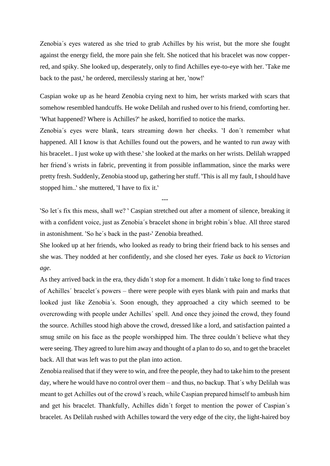Zenobia´s eyes watered as she tried to grab Achilles by his wrist, but the more she fought against the energy field, the more pain she felt. She noticed that his bracelet was now copperred, and spiky. She looked up, desperately, only to find Achilles eye-to-eye with her. 'Take me back to the past, he ordered, mercilessly staring at her, *`now!*'

Caspian woke up as he heard Zenobia crying next to him, her wrists marked with scars that somehow resembled handcuffs. He woke Delilah and rushed over to his friend, comforting her. ‵What happened? Where is Achilles?‵ he asked, horrified to notice the marks.

Zenobia's eyes were blank, tears streaming down her cheeks. 'I don't remember what happened. All I know is that Achilles found out the powers, and he wanted to run away with his bracelet.. I just woke up with these. She looked at the marks on her wrists. Delilah wrapped her friend´s wrists in fabric, preventing it from possible inflammation, since the marks were pretty fresh. Suddenly, Zenobia stood up, gathering her stuff. 'This is all my fault, I should have stopped him..' she muttered, 'I have to fix it.'

‵So let´s fix this mess, shall we? ‵ Caspian stretched out after a moment of silence, breaking it with a confident voice, just as Zenobia´s bracelet shone in bright robin´s blue. All three stared in astonishment. 'So he's back in the past-' Zenobia breathed.

---

She looked up at her friends, who looked as ready to bring their friend back to his senses and she was. They nodded at her confidently, and she closed her eyes. *Take us back to Victorian age.*

As they arrived back in the era, they didn´t stop for a moment. It didn´t take long to find traces of Achilles´ bracelet´s powers – there were people with eyes blank with pain and marks that looked just like Zenobia´s. Soon enough, they approached a city which seemed to be overcrowding with people under Achilles´ spell. And once they joined the crowd, they found the source. Achilles stood high above the crowd, dressed like a lord, and satisfaction painted a smug smile on his face as the people worshipped him. The three couldn't believe what they were seeing. They agreed to lure him away and thought of a plan to do so, and to get the bracelet back. All that was left was to put the plan into action.

Zenobia realised that if they were to win, and free the people, they had to take him to the present day, where he would have no control over them – and thus, no backup. That´s why Delilah was meant to get Achilles out of the crowd´s reach, while Caspian prepared himself to ambush him and get his bracelet. Thankfully, Achilles didn´t forget to mention the power of Caspian´s bracelet. As Delilah rushed with Achilles toward the very edge of the city, the light-haired boy